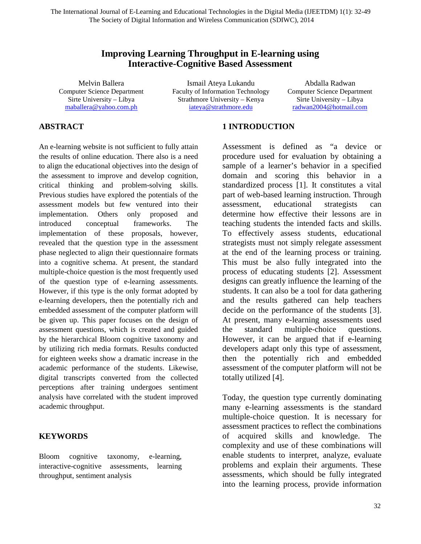## **Improving Learning Throughput in E-learning using Interactive-Cognitive Based Assessment**

Melvin Ballera Computer Science Department Sirte University – Libya [maballera@yahoo.com.ph](mailto:maballera@yahoo.com.ph)

Ismail Ateya Lukandu Faculty of Information Technology Strathmore University – Kenya [iateya@strathmore.edu](mailto:iateya@strathmore.edu)

Abdalla Radwan Computer Science Department Sirte University – Libya [radwan2004@hotmail.com](mailto:radwan2004@hotmail.com)

### **ABSTRACT**

An e-learning website is not sufficient to fully attain the results of online education. There also is a need to align the educational objectives into the design of the assessment to improve and develop cognition, critical thinking and problem-solving skills. Previous studies have explored the potentials of the assessment models but few ventured into their implementation. Others only proposed and introduced conceptual frameworks. The implementation of these proposals, however, revealed that the question type in the assessment phase neglected to align their questionnaire formats into a cognitive schema. At present, the standard multiple-choice question is the most frequently used of the question type of e-learning assessments. However, if this type is the only format adopted by e-learning developers, then the potentially rich and embedded assessment of the computer platform will be given up. This paper focuses on the design of assessment questions, which is created and guided by the hierarchical Bloom cognitive taxonomy and by utilizing rich media formats. Results conducted for eighteen weeks show a dramatic increase in the academic performance of the students. Likewise, digital transcripts converted from the collected perceptions after training undergoes sentiment analysis have correlated with the student improved academic throughput.

### **KEYWORDS**

Bloom cognitive taxonomy, e-learning, interactive-cognitive assessments, learning throughput, sentiment analysis

### **1 INTRODUCTION**

Assessment is defined as "a device or procedure used for evaluation by obtaining a sample of a learner's behavior in a specified domain and scoring this behavior in a standardized process [1]. It constitutes a vital part of web-based learning instruction. Through assessment, educational strategists can determine how effective their lessons are in teaching students the intended facts and skills. To effectively assess students, educational strategists must not simply relegate assessment at the end of the learning process or training. This must be also fully integrated into the process of educating students [2]. Assessment designs can greatly influence the learning of the students. It can also be a tool for data gathering and the results gathered can help teachers decide on the performance of the students [3]. At present, many e-learning assessments used the standard multiple-choice questions. However, it can be argued that if e-learning developers adapt only this type of assessment, then the potentially rich and embedded assessment of the computer platform will not be totally utilized [4].

Today, the question type currently dominating many e-learning assessments is the standard multiple-choice question. It is necessary for assessment practices to reflect the combinations of acquired skills and knowledge. The complexity and use of these combinations will enable students to interpret, analyze, evaluate problems and explain their arguments. These assessments, which should be fully integrated into the learning process, provide information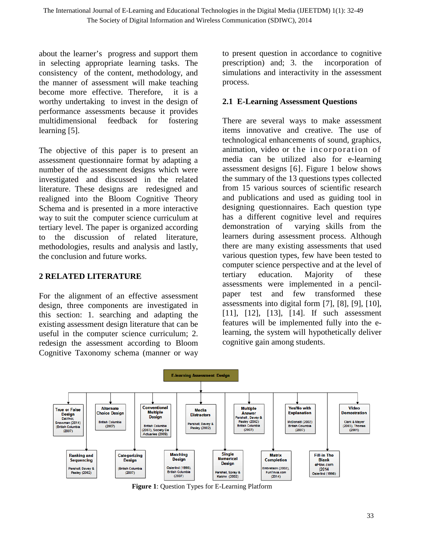about the learner's progress and support them in selecting appropriate learning tasks. The consistency of the content, methodology, and the manner of assessment will make teaching become more effective. Therefore, it is a worthy undertaking to invest in the design of performance assessments because it provides multidimensional feedback for fostering learning [5].

The objective of this paper is to present an assessment questionnaire format by adapting a number of the assessment designs which were investigated and discussed in the related literature. These designs are redesigned and realigned into the Bloom Cognitive Theory Schema and is presented in a more interactive way to suit the computer science curriculum at tertiary level. The paper is organized according to the discussion of related literature, methodologies, results and analysis and lastly, the conclusion and future works.

### **2 RELATED LITERATURE**

For the alignment of an effective assessment design, three components are investigated in this section: 1. searching and adapting the existing assessment design literature that can be useful in the computer science curriculum; 2. redesign the assessment according to Bloom Cognitive Taxonomy schema (manner or way

to present question in accordance to cognitive prescription) and; 3. the incorporation of simulations and interactivity in the assessment process.

## **2.1 E-Learning Assessment Questions**

There are several ways to make assessment items innovative and creative. The use of technological enhancements of sound, graphics, animation, video or the incorporation of media can be utilized also for e-learning assessment designs [6]. Figure 1 below shows the summary of the 13 questions types collected from 15 various sources of scientific research and publications and used as guiding tool in designing questionnaires. Each question type has a different cognitive level and requires demonstration of varying skills from the learners during assessment process. Although there are many existing assessments that used various question types, few have been tested to computer science perspective and at the level of tertiary education. Majority of these assessments were implemented in a pencilpaper test and few transformed these assessments into digital form [7], [8], [9], [10], [11], [12], [13], [14]. If such assessment features will be implemented fully into the elearning, the system will hypothetically deliver cognitive gain among students.



**Figure 1**: Question Types for E-Learning Platform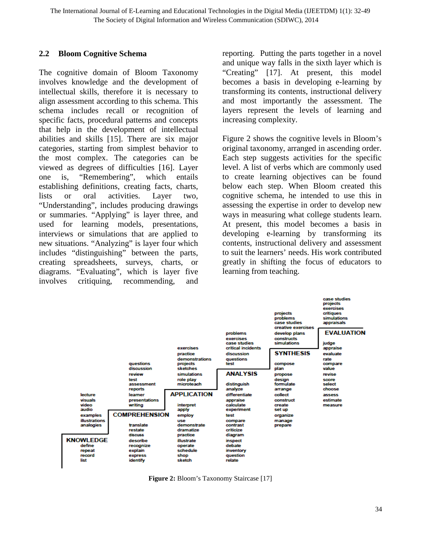### **2.2 Bloom Cognitive Schema**

The cognitive domain of Bloom Taxonomy involves knowledge and the development of intellectual skills, therefore it is necessary to align assessment according to this schema. This schema includes recall or recognition of specific facts, procedural patterns and concepts that help in the development of intellectual abilities and skills [15]. There are six major categories, starting from simplest behavior to the most complex. The categories can be viewed as degrees of difficulties [16]. Layer one is, "Remembering", which entails establishing definitions, creating facts, charts, lists or oral activities. Layer two, "Understanding", includes producing drawings or summaries. "Applying" is layer three, and used for learning models, presentations, interviews or simulations that are applied to new situations. "Analyzing" is layer four which includes "distinguishing" between the parts, creating spreadsheets, surveys, charts, or diagrams. "Evaluating", which is layer five involves critiquing, recommending, and reporting. Putting the parts together in a novel and unique way falls in the sixth layer which is "Creating" [17]. At present, this model becomes a basis in developing e-learning by transforming its contents, instructional delivery and most importantly the assessment. The layers represent the levels of learning and increasing complexity.

Figure 2 shows the cognitive levels in Bloom's original taxonomy, arranged in ascending order. Each step suggests activities for the specific level. A list of verbs which are commonly used to create learning objectives can be found below each step. When Bloom created this cognitive schema, he intended to use this in assessing the expertise in order to develop new ways in measuring what college students learn. At present, this model becomes a basis in developing e-learning by transforming its contents, instructional delivery and assessment to suit the learners' needs. His work contributed greatly in shifting the focus of educators to learning from teaching.



**Figure 2:** Bloom's Taxonomy Staircase [17]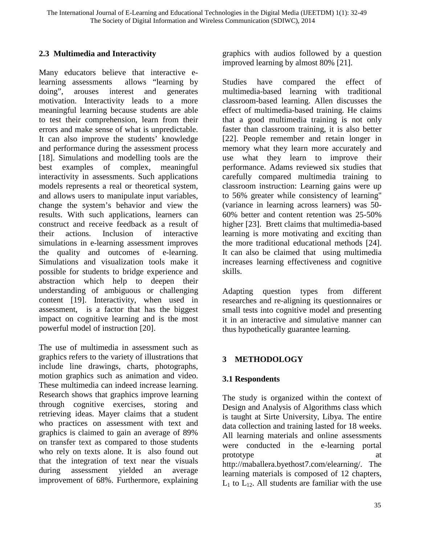## **2.3 Multimedia and Interactivity**

Many educators believe that interactive elearning assessments allows "learning by doing", arouses interest and generates motivation. Interactivity leads to a more meaningful learning because students are able to test their comprehension, learn from their errors and make sense of what is unpredictable. It can also improve the students' knowledge and performance during the assessment process [18]. Simulations and modelling tools are the best examples of complex, meaningful interactivity in assessments. Such applications models represents a real or theoretical system, and allows users to manipulate input variables, change the system's behavior and view the results. With such applications, learners can construct and receive feedback as a result of their actions. Inclusion of interactive simulations in e-learning assessment improves the quality and outcomes of e-learning. Simulations and visualization tools make it possible for students to bridge experience and abstraction which help to deepen their understanding of ambiguous or challenging content [19]. Interactivity, when used in assessment, is a factor that has the biggest impact on cognitive learning and is the most powerful model of instruction [20].

The use of multimedia in assessment such as graphics refers to the variety of illustrations that include line drawings, charts, photographs, motion graphics such as animation and video. These multimedia can indeed increase learning. Research shows that graphics improve learning through cognitive exercises, storing and retrieving ideas. Mayer claims that a student who practices on assessment with text and graphics is claimed to gain an average of 89% on transfer text as compared to those students who rely on texts alone. It is also found out that the integration of text near the visuals during assessment yielded an average improvement of 68%. Furthermore, explaining

graphics with audios followed by a question improved learning by almost 80% [21].

Studies have compared the effect of multimedia-based learning with traditional classroom-based learning. Allen discusses the effect of multimedia-based training. He claims that a good multimedia training is not only faster than classroom training, it is also better [22]. People remember and retain longer in memory what they learn more accurately and use what they learn to improve their performance. Adams reviewed six studies that carefully compared multimedia training to classroom instruction: Learning gains were up to 56% greater while consistency of learning" (variance in learning across learners) was 50- 60% better and content retention was 25-50% higher [23]. Brett claims that multimedia-based learning is more motivating and exciting than the more traditional educational methods [24]. It can also be claimed that using multimedia increases learning effectiveness and cognitive skills.

Adapting question types from different researches and re-aligning its questionnaires or small tests into cognitive model and presenting it in an interactive and simulative manner can thus hypothetically guarantee learning.

# **3 METHODOLOGY**

## **3.1 Respondents**

The study is organized within the context of Design and Analysis of Algorithms class which is taught at Sirte University, Libya. The entire data collection and training lasted for 18 weeks. All learning materials and online assessments were conducted in the e-learning portal prototype at a set of  $\alpha$  at a set of  $\alpha$  at a set of  $\alpha$  at a set of  $\alpha$  at a set of  $\alpha$  at a set of  $\alpha$  at a set of  $\alpha$  at a set of  $\alpha$  at a set of  $\alpha$  at a set of  $\alpha$  at a set of  $\alpha$  at a set of  $\alpha$  at a set [http://maballera.byethost7.com/elearning/.](http://maballera.byethost7.com/elearning/) The learning materials is composed of 12 chapters,  $L_1$  to  $L_{12}$ . All students are familiar with the use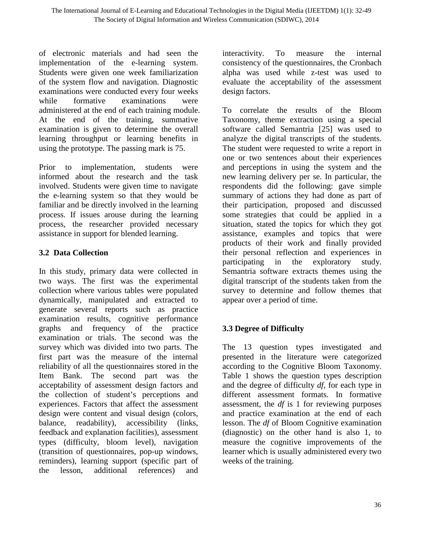of electronic materials and had seen the implementation of the e-learning system. Students were given one week familiarization of the system flow and navigation. Diagnostic examinations were conducted every four weeks while formative examinations were administered at the end of each training module. At the end of the training, summative examination is given to determine the overall learning throughput or learning benefits in using the prototype. The passing mark is 75.

Prior to implementation, students were informed about the research and the task involved. Students were given time to navigate the e-learning system so that they would be familiar and be directly involved in the learning process. If issues arouse during the learning process, the researcher provided necessary assistance in support for blended learning.

## **3.2 Data Collection**

In this study, primary data were collected in two ways. The first was the experimental collection where various tables were populated dynamically, manipulated and extracted to generate several reports such as practice examination results, cognitive performance graphs and frequency of the practice examination or trials. The second was the survey which was divided into two parts. The first part was the measure of the internal reliability of all the questionnaires stored in the Item Bank. The second part was the acceptability of assessment design factors and the collection of student's perceptions and experiences. Factors that affect the assessment design were content and visual design (colors, balance, readability), accessibility (links, feedback and explanation facilities), assessment types (difficulty, bloom level), navigation (transition of questionnaires, pop-up windows, reminders), learning support (specific part of the lesson, additional references) and

interactivity. To measure the internal consistency of the questionnaires, the Cronbach alpha was used while z-test was used to evaluate the acceptability of the assessment design factors.

To correlate the results of the Bloom Taxonomy, theme extraction using a special software called Semantria [25] was used to analyze the digital transcripts of the students. The student were requested to write a report in one or two sentences about their experiences and perceptions in using the system and the new learning delivery per se. In particular, the respondents did the following: gave simple summary of actions they had done as part of their participation, proposed and discussed some strategies that could be applied in a situation, stated the topics for which they got assistance, examples and topics that were products of their work and finally provided their personal reflection and experiences in participating in the exploratory study. Semantria software extracts themes using the digital transcript of the students taken from the survey to determine and follow themes that appear over a period of time.

# **3.3 Degree of Difficulty**

The 13 question types investigated and presented in the literature were categorized according to the Cognitive Bloom Taxonomy. Table 1 shows the question types description and the degree of difficulty *df*, for each type in different assessment formats. In formative assessment, the *df* is 1 for reviewing purposes and practice examination at the end of each lesson. The *df* of Bloom Cognitive examination (diagnostic) on the other hand is also 1, to measure the cognitive improvements of the learner which is usually administered every two weeks of the training.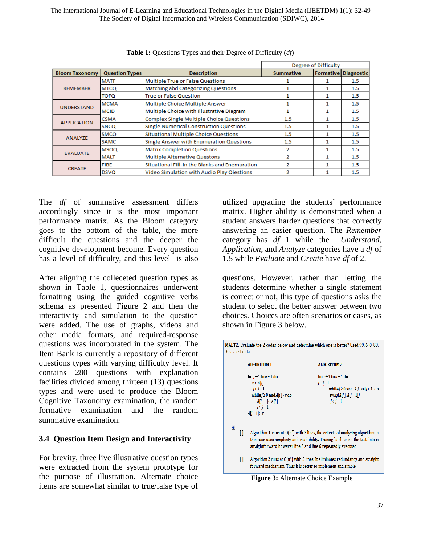The International Journal of E-Learning and Educational Technologies in the Digital Media (IJEETDM) 1(1): 32-49 The Society of Digital Information and Wireless Communication (SDIWC), 2014

|                                                |             |                                                 |                  | Degree of Difficulty |                             |
|------------------------------------------------|-------------|-------------------------------------------------|------------------|----------------------|-----------------------------|
| <b>Bloom Taxonomy</b><br><b>Question Types</b> |             | <b>Description</b>                              | <b>Summative</b> |                      | <b>Formative Diagnostic</b> |
|                                                | <b>MATF</b> | Multiple True or False Questions                |                  |                      | $1.5\,$                     |
| <b>REMEMBER</b>                                | <b>MTCQ</b> | Matching abd Categorizing Questions             |                  |                      | 1.5                         |
|                                                | TOFQ        | <b>True or False Question</b>                   |                  |                      | 1.5                         |
|                                                | <b>MCMA</b> | Multiple Choice Multiple Answer                 |                  |                      | 1.5                         |
| <b>UNDERSTAND</b>                              | <b>MCID</b> | Multiple Choice with Illustrative Diagram       |                  |                      | 1.5                         |
| <b>APPLICATION</b>                             | <b>CSMA</b> | <b>Complex Single Multiple Choice Questions</b> | 1.5              |                      | 1.5                         |
|                                                | <b>SNCQ</b> | Single Numerical Construction Questions         | 1.5              |                      | 1.5                         |
|                                                | SMCQ        | Situational Multiple Choice Questions           | $1.5\,$          |                      | 1.5                         |
| <b>ANALYZE</b>                                 | <b>SAMC</b> | Single Answer with Enumeration Questions        | 1.5              |                      | 1.5                         |
| <b>EVALUATE</b>                                | <b>MSOQ</b> | <b>Matrix Completion Questions</b>              | 2                |                      | 1.5                         |
|                                                | <b>MALT</b> | Multiple Alternative Questons                   | 2                |                      | $1.5\,$                     |
|                                                | <b>FIBE</b> | Situational Fill-in the Blanks and Enemuration  | 2                |                      | 1.5                         |
| <b>CREATE</b>                                  | <b>DSVQ</b> | Video Simulation with Audio Play Qiestions      | 2                |                      | 1.5                         |

**Table 1:** Questions Types and their Degree of Difficulty (*df*)

The *df* of summative assessment differs accordingly since it is the most important performance matrix. As the Bloom category goes to the bottom of the table, the more difficult the questions and the deeper the cognitive development become. Every question has a level of difficulty, and this level is also

After aligning the colleceted question types as shown in Table 1, questionnaires underwent fornatting using the guided cognitive verbs schema as presented Figure 2 and then the interactivity and simulation to the question were added. The use of graphs, videos and other media formats, and required-response questions was incorporated in the system. The Item Bank is currently a repository of different questions types with varying difficulty level. It contains 280 questions with explanation facilities divided among thirteen (13) questions types and were used to produce the Bloom Cognitive Taxonomy examination, the random formative examination and the random summative examination.

#### **3.4 Question Item Design and Interactivity**

For brevity, three live illustrative question types were extracted from the system prototype for the purpose of illustration. Alternate choice items are somewhat similar to true/false type of

utilized upgrading the students' performance matrix. Higher ability is demonstrated when a student answers harder questions that correctly answering an easier question. The *Remember* category has *df* 1 while the *Understand*, *Application*, and *Analyze* categories have a *df* of 1.5 while *Evaluate* and *Create* have *df* of 2.

questions. However, rather than letting the students determine whether a single statement is correct or not, this type of questions asks the student to select the better answer between two choices. Choices are often scenarios or cases, as shown in Figure 3 below.



**Figure 3:** Alternate Choice Example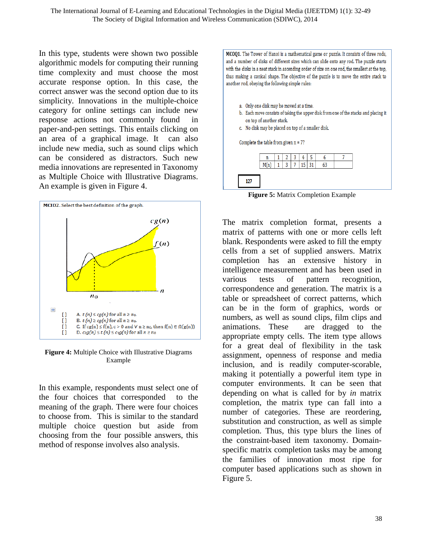In this type, students were shown two possible algorithmic models for computing their running time complexity and must choose the most accurate response option. In this case, the correct answer was the second option due to its simplicity. Innovations in the multiple-choice category for online settings can include new response actions not commonly found in paper-and-pen settings. This entails clicking on an area of a graphical image. It can also include new media, such as sound clips which can be considered as distractors. Such new media innovations are represented in Taxonomy as Multiple Choice with Illustrative Diagrams. An example is given in Figure 4.



**Figure 4:** Multiple Choice with Illustrative Diagrams Example

In this example, respondents must select one of the four choices that corresponded to the meaning of the graph. There were four choices to choose from. This is similar to the standard multiple choice question but aside from choosing from the four possible answers, this method of response involves also analysis.

MCOQ1. The Tower of Hanoi is a mathematical game or puzzle. It consists of three rods, and a number of disks of different sizes which can slide onto any rod. The puzzle starts with the disks in a neat stack in ascending order of size on one rod, the smallest at the top, thus making a conical shape. The objective of the puzzle is to move the entire stack to another rod, obeying the following simple rules:



**Figure 5:** Matrix Completion Example

The matrix completion format, presents a matrix of patterns with one or more cells left blank. Respondents were asked to fill the empty cells from a set of supplied answers. Matrix completion has an extensive history in intelligence measurement and has been used in various tests of pattern recognition, correspondence and generation. The matrix is a table or spreadsheet of correct patterns, which can be in the form of graphics, words or numbers, as well as sound clips, film clips and animations. These are dragged to the appropriate empty cells. The item type allows for a great deal of flexibility in the task assignment, openness of response and media inclusion, and is readily computer-scorable, making it potentially a powerful item type in computer environments. It can be seen that depending on what is called for by *in* matrix completion, the matrix type can fall into a number of categories. These are reordering, substitution and construction, as well as simple completion. Thus, this type blurs the lines of the constraint-based item taxonomy. Domainspecific matrix completion tasks may be among the families of innovation most ripe for computer based applications such as shown in Figure 5.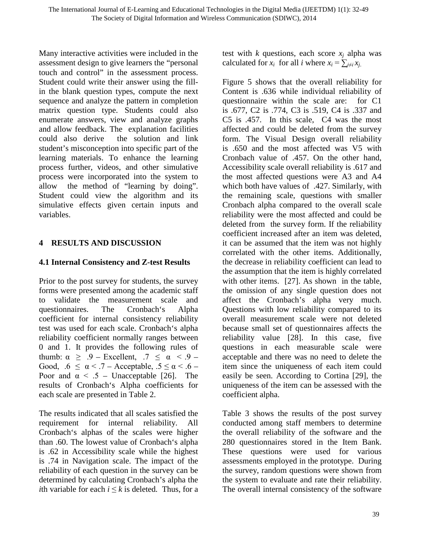Many interactive activities were included in the assessment design to give learners the "personal touch and control" in the assessment process. Student could write their answer using the fillin the blank question types, compute the next sequence and analyze the pattern in completion matrix question type. Students could also enumerate answers, view and analyze graphs and allow feedback. The explanation facilities could also derive the solution and link student's misconception into specific part of the learning materials. To enhance the learning process further, videos, and other simulative process were incorporated into the system to allow the method of "learning by doing". Student could view the algorithm and its simulative effects given certain inputs and variables.

## **4 RESULTS AND DISCUSSION**

## **4.1 Internal Consistency and Z-test Results**

Prior to the post survey for students, the survey forms were presented among the academic staff to validate the measurement scale and questionnaires. The Cronbach's Alpha coefficient for internal consistency reliability test was used for each scale. Cronbach's alpha reliability coefficient normally ranges between 0 and 1. It provides the following rules of thumb:  $\alpha \geq .9$  – Excellent,  $.7 \leq \alpha \leq .9$  – Good,  $.6 \le \alpha < .7$  – Acceptable,  $.5 \le \alpha < .6$  – Poor and  $\alpha \leq .5$  – Unacceptable [26]. The results of Cronbach's Alpha coefficients for each scale are presented in Table 2.

The results indicated that all scales satisfied the requirement for internal reliability. All Cronbach's alphas of the scales were higher than .60. The lowest value of Cronbach's alpha is .62 in Accessibility scale while the highest is .74 in Navigation scale. The impact of the reliability of each question in the survey can be determined by calculating Cronbach's alpha the *i*th variable for each  $i \leq k$  is deleted. Thus, for a test with  $k$  questions, each score  $x_i$  alpha was calculated for  $x_i$  for all *i* where  $x_i = \sum_{j \neq i} x_j$ .

Figure 5 shows that the overall reliability for Content is .636 while individual reliability of questionnaire within the scale are: for C1 is .677, C2 is .774, C3 is .519, C4 is .337 and C5 is .457. In this scale, C4 was the most affected and could be deleted from the survey form. The Visual Design overall reliability is .650 and the most affected was V5 with Cronbach value of .457. On the other hand, Accessibility scale overall reliability is .617 and the most affected questions were A3 and A4 which both have values of .427. Similarly, with the remaining scale, questions with smaller Cronbach alpha compared to the overall scale reliability were the most affected and could be deleted from the survey form. If the reliability coefficient increased after an item was deleted, it can be assumed that the item was not highly correlated with the other items. Additionally, the decrease in reliability coefficient can lead to the assumption that the item is highly correlated with other items. [27]. As shown in the table, the omission of any single question does not affect the Cronbach's alpha very much. Questions with low reliability compared to its overall measurement scale were not deleted because small set of questionnaires affects the reliability value [28]. In this case, five questions in each measurable scale were acceptable and there was no need to delete the item since the uniqueness of each item could easily be seen. According to Cortina [29], the uniqueness of the item can be assessed with the coefficient alpha.

Table 3 shows the results of the post survey conducted among staff members to determine the overall reliability of the software and the 280 questionnaires stored in the Item Bank. These questions were used for various assessments employed in the prototype. During the survey, random questions were shown from the system to evaluate and rate their reliability. The overall internal consistency of the software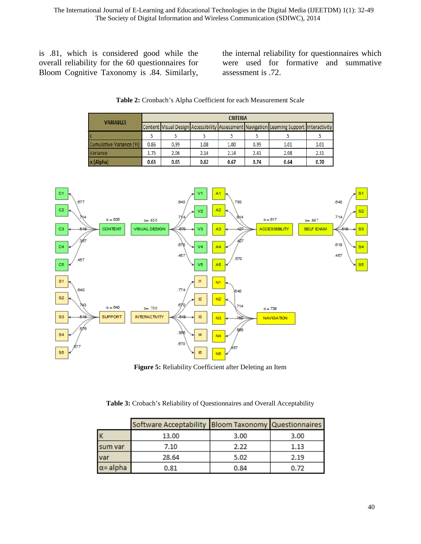is .81, which is considered good while the overall reliability for the 60 questionnaires for Bloom Cognitive Taxonomy is .84. Similarly, the internal reliability for questionnaires which were used for formative and summative assessment is .72.

| <b>VARIABLES</b>         | <b>CRITERIA</b> |      |      |      |      |                                                                                          |      |  |  |
|--------------------------|-----------------|------|------|------|------|------------------------------------------------------------------------------------------|------|--|--|
|                          |                 |      |      |      |      | Content Visual Design Accessibility Assessment Navigation Learning Support Interactivity |      |  |  |
| Ιk                       |                 |      |      |      |      |                                                                                          |      |  |  |
| Cumulative Variance (Yi) | 0.86            | 0.99 | 1.08 | 1.00 | 0.99 | 1.01                                                                                     | 1.01 |  |  |
| Variance                 | 1.75            | 2.06 | 2.14 | 2.14 | 2.41 | 2.08                                                                                     | 2.31 |  |  |
| $\alpha$ (Alpha)         | 0.63            | 0.65 | 0.62 | 0.67 | 0.74 | 0.64                                                                                     | 0.70 |  |  |

**Table 2:** Cronbach's Alpha Coefficient for each Measurement Scale



**Figure 5:** Reliability Coefficient after Deleting an Item

**Table 3:** Crobach's Reliability of Questionnaires and Overall Acceptability

|                  | Software Acceptability Bloom Taxonomy Questionnaires |      |      |
|------------------|------------------------------------------------------|------|------|
|                  | 13.00                                                | 3.00 | 3.00 |
| sum var          | 7.10                                                 | 2.22 | 1.13 |
| var              | 28.64                                                | 5.02 | 2.19 |
| $\alpha$ = alpha | 0.81                                                 | 0.84 | 0.72 |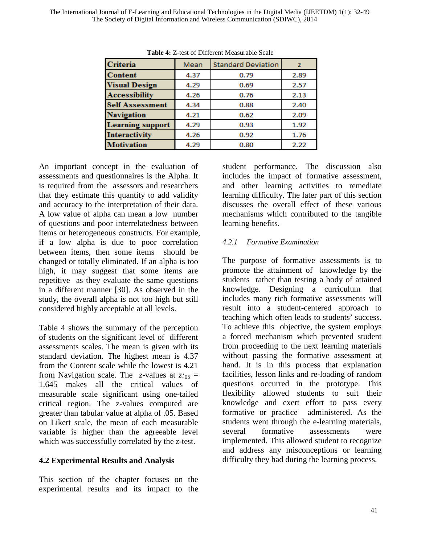| <b>Criteria</b>         | Mean | <b>Standard Deviation</b> |      |
|-------------------------|------|---------------------------|------|
| <b>Content</b>          | 4.37 | 0.79                      | 2.89 |
| <b>Visual Design</b>    | 4.29 | 0.69                      | 2.57 |
| <b>Accessibility</b>    | 4.26 | 0.76                      | 2.13 |
| <b>Self Assessment</b>  | 4.34 | 0.88                      | 2.40 |
| <b>Navigation</b>       | 4.21 | 0.62                      | 2.09 |
| <b>Learning support</b> | 4.29 | 0.93                      | 1.92 |
| <b>Interactivity</b>    | 4.26 | 0.92                      | 1.76 |
| <b>Motivation</b>       | 4.29 | 0.80                      | 2.22 |

**Table 4:** Z-test of Different Measurable Scale

An important concept in the evaluation of assessments and questionnaires is the Alpha. It is required from the assessors and researchers that they estimate this quantity to add validity and accuracy to the interpretation of their data. A low value of alpha can mean a low number of questions and poor interrelatedness between items or heterogeneous constructs. For example, if a low alpha is due to poor correlation between items, then some items should be changed or totally eliminated. If an alpha is too high, it may suggest that some items are repetitive as they evaluate the same questions in a different manner [30]. As observed in the study, the overall alpha is not too high but still considered highly acceptable at all levels.

Table 4 shows the summary of the perception of students on the significant level of different assessments scales. The mean is given with its standard deviation. The highest mean is 4.37 from the Content scale while the lowest is 4.21 from Navigation scale. The *z*-values at  $z:_{05}$  = 1.645 makes all the critical values of measurable scale significant using one-tailed critical region. The z-values computed are greater than tabular value at alpha of .05. Based on Likert scale, the mean of each measurable variable is higher than the agreeable level which was successfully correlated by the *z*-test.

### **4.2 Experimental Results and Analysis**

This section of the chapter focuses on the experimental results and its impact to the

student performance. The discussion also includes the impact of formative assessment, and other learning activities to remediate learning difficulty. The later part of this section discusses the overall effect of these various mechanisms which contributed to the tangible learning benefits.

### *4.2.1 Formative Examination*

The purpose of formative assessments is to promote the attainment of knowledge by the students rather than testing a body of attained knowledge. Designing a curriculum that includes many rich formative assessments will result into a student-centered approach to teaching which often leads to students' success. To achieve this objective, the system employs a forced mechanism which prevented student from proceeding to the next learning materials without passing the formative assessment at hand. It is in this process that explanation facilities, lesson links and re-loading of random questions occurred in the prototype. This flexibility allowed students to suit their knowledge and exert effort to pass every formative or practice administered. As the students went through the e-learning materials, several formative assessments were implemented. This allowed student to recognize and address any misconceptions or learning difficulty they had during the learning process.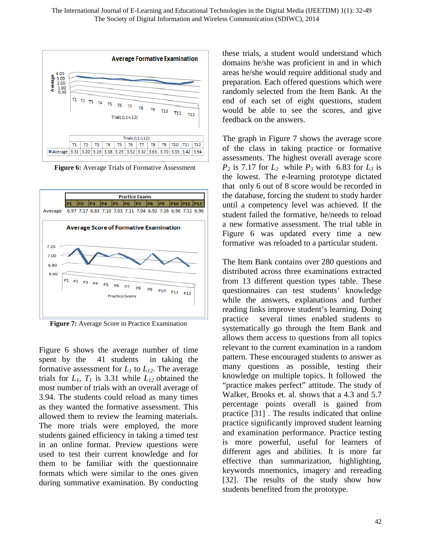

**Figure 6:** Average Trials of Formative Assessment



**Figure 7:** Average Score in Practice Examination

Figure 6 shows the average number of time spent by the 41 students in taking the formative assessment for  $L_1$  to  $L_{12}$ . The average trials for  $L_1$ ,  $T_1$  is 3.31 while  $L_{12}$  obtained the most number of trials with an overall average of 3.94. The students could reload as many times as they wanted the formative assessment. This allowed them to review the learning materials. The more trials were employed, the more students gained efficiency in taking a timed test in an online format. Preview questions were used to test their current knowledge and for them to be familiar with the questionnaire formats which were similar to the ones given during summative examination. By conducting these trials, a student would understand which domains he/she was proficient in and in which areas he/she would require additional study and preparation. Each offered questions which were randomly selected from the Item Bank. At the end of each set of eight questions, student would be able to see the scores, and give feedback on the answers.

The graph in Figure 7 shows the average score of the class in taking practice or formative assessments. The highest overall average score  $P_2$  is 7.17 for  $L_2$  while  $P_3$  with 6.83 for  $L_3$  is the lowest. The e-learning prototype dictated that only 6 out of 8 score would be recorded in the database, forcing the student to study harder until a competency level was achieved. If the student failed the formative, he/needs to reload a new formative assessment. The trial table in Figure 6 was updated every time a new formative was reloaded to a particular student.

The Item Bank contains over 280 questions and distributed across three examinations extracted from 13 different question types table. These questionnaires can test students' knowledge while the answers, explanations and further reading links improve student's learning. Doing practice several times enabled students to systematically go through the Item Bank and allows them access to questions from all topics relevant to the current examination in a random pattern. These encouraged students to answer as many questions as possible, testing their knowledge on multiple topics. It followed the "practice makes perfect" attitude. The study of Walker, Brooks et. al. shows that a 4.3 and 5.7 percentage points overall is gained from practice [31] . The results indicated that online practice significantly improved student learning and examination performance. Practice testing is more powerful, useful for learners of different ages and abilities. It is more far effective than summarization, highlighting, keywords mnemonics, imagery and rereading [32]. The results of the study show how students benefited from the prototype.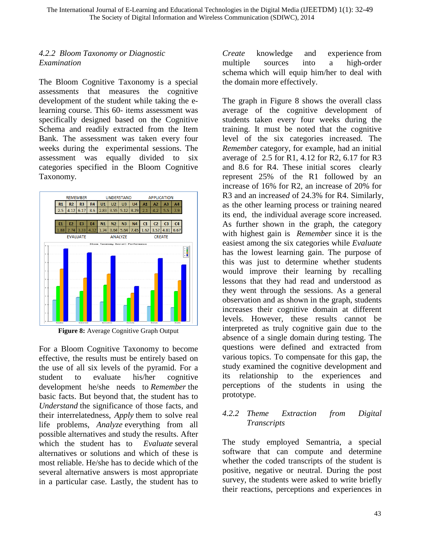### *4.2.2 Bloom Taxonomy or Diagnostic Examination*

The Bloom Cognitive Taxonomy is a special assessment*s* that measures the cognitive development of the student while taking the elearning course. This 60- item*s* assessment was specifically designed based on the Cognitive Schema and readily extracted from the Item Bank. The assessment was taken every four weeks during the experimental sessions. The assessment was equally divided to six categories specified in the Bloom Cognitive Taxonomy.



**Figure 8:** Average Cognitive Graph Output

For a Bloom Cognitive Taxonomy to become effective, the results must be entirely based on the use of all six levels of the pyramid. For a student to evaluate his/her cognitive development he/she needs to *Remember* the basic facts. But beyond that, the student has to *Understand* the significance of those facts, and their interrelatedness, *Apply* them to solve real life problems, *Analyze* everything from all possible alternatives and study the results. After which the student has to *Evaluate* several alternatives or solutions and which of these is most reliable. He/she has to decide which of the several alternative answers is most appropriate in a particular case. Lastly, the student has to

*Create* knowledge and experience from multiple sources into a high-order schema which will equip him/her to deal with the domain more effectively.

The graph in Figure 8 shows the overall class average of the cognitive development of students taken every four weeks during the training. It must be noted that the cognitive level of the six categories increased. The *Remember* category, for example, had an initial average of 2.5 for R1, 4.12 for R2, 6.17 for R3 and 8.6 for R4. These initial scores clearly represent 25% of the R1 followed by an increase of 16% for R2, an increase of 20% for R3 and an increase*d* of 24.3% for R4. Similarly, as the other learning process or training neared its end, the individual average score increased. As further shown in the graph, the category with highest gain is *Remember* since it is the easiest among the six categories while *Evaluate* has the lowest learning gain. The purpose of this was just to determine whether students would improve their learning by recalling lessons that they had read and understood as they went through the sessions. As a general observation and as shown in the graph, students increase*s* their cognitive domain at different levels. However, these results cannot be interpreted as truly cognitive gain due to the absence of a single domain during testing. The questions were defined and extracted from various topics. To compensate for this gap, the study examined the cognitive development and its relationship to the experiences and perceptions of the students in using the prototype.

## *4.2.2 Theme Extraction from Digital Transcripts*

The study employed Semantria, a special software that can compute and determine whether the coded transcripts of the student is positive, negative or neutral. During the post survey, the students were asked to write briefly their reactions, perceptions and experiences in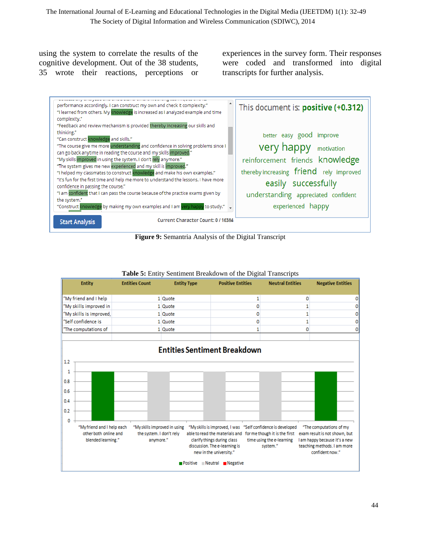using the system to correlate the results of the cognitive development. Out of the 38 students, 35 wrote their reactions, perceptions or experiences in the survey form. Their responses were coded and transformed into digital transcripts for further analysis.



**Figure 9:** Semantria Analysis of the Digital Transcript



**Table 5:** Entity Sentiment Breakdown of the Digital Transcripts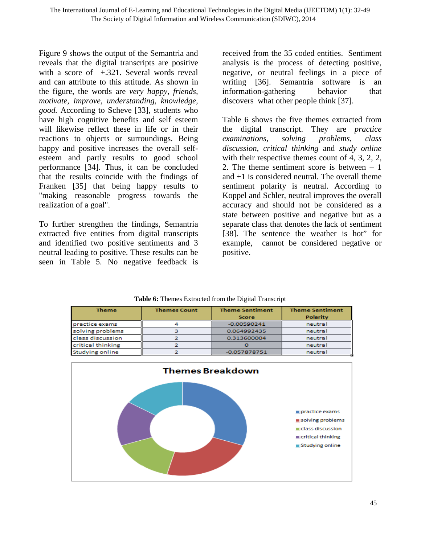Figure 9 shows the output of the Semantria and reveals that the digital transcripts are positive with a score of +.321. Several words reveal and can attribute to this attitude. As shown in the figure, the words are *very happy, friends, motivate, improve, understanding, knowledge, good.* According to Scheve [33], students who have high cognitive benefits and self esteem will likewise reflect these in life or in their reactions to objects or surroundings. Being happy and positive increases the overall selfesteem and partly results to good school performance [34]. Thus, it can be concluded that the results coincide with the findings of Franken [35] that being happy results to "making reasonable progress towards the realization of a goal".

To further strengthen the findings, Semantria extracted five entities from digital transcripts and identified two positive sentiments and 3 neutral leading to positive. These results can be seen in Table 5. No negative feedback is

received from the 35 coded entities. Sentiment analysis is the process of detecting positive, negative, or neutral feelings in a piece of writing [36]. Semantria software is an information-gathering behavior that discovers what other people think [37].

Table 6 shows the five themes extracted from the digital transcript. They are *practice examinations, solving problems, class discussion, critical thinking* and *study online*  with their respective themes count of 4, 3, 2, 2, 2. The theme sentiment score is between  $-1$ and +1 is considered neutral. The overall theme sentiment polarity is neutral. According to Koppel and Schler, neutral improves the overall accuracy and should not be considered as a state between positive and negative but as a separate class that denotes the lack of sentiment [38]. The sentence the weather is hot" for example, cannot be considered negative or positive.

| <b>Theme</b>      | <b>Themes Count</b> | <b>Theme Sentiment</b> | <b>Theme Sentiment</b> |  |  |
|-------------------|---------------------|------------------------|------------------------|--|--|
|                   |                     | <b>Score</b>           | <b>Polarity</b>        |  |  |
| practice exams    |                     | $-0.00590241$          | neutral                |  |  |
| solving problems  |                     | 0.064992435            | neutral                |  |  |
| class discussion  |                     | 0.313600004            | neutral                |  |  |
| critical thinking |                     |                        | neutral                |  |  |
| Studying online   |                     | $-0.057878751$         | neutral                |  |  |



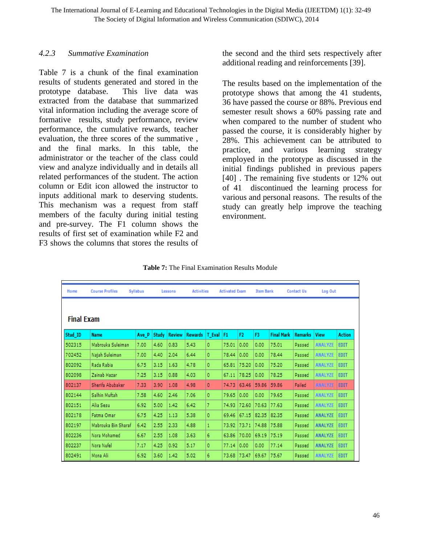#### *4.2.3 Summative Examination*

Table 7 is a chunk of the final examination results of students generated and stored in the prototype database. This live data was extracted from the database that summarized vital information including the average score of formative results, study performance, review performance, the cumulative rewards, teacher evaluation, the three scores of the summative , and the final marks. In this table, the administrator or the teacher of the class could view and analyze individually and in details all related performances of the student. The action column or Edit icon allowed the instructor to input*s* additional mark to deserving students. This mechanism was a request from staff members of the faculty during initial testing and pre-survey. The F1 column shows the results of first set of examination while F2 and F3 shows the columns that store*s* the results of

the second and the third sets respectively after additional reading and reinforcements [39].

The results based on the implementation of the prototype shows that among the 41 students, 36 have passed the course or 88%. Previous end semester result shows a 60% passing rate and when compared to the number of student who passed the course, it is considerably higher by 28%. This achievement can be attributed to practice, and various learning strategy employed in the prototype as discussed in the initial findings published in previous papers [40]. The remaining five students or 12% out of 41 discontinued the learning process for various and personal reasons. The results of the study can greatly help improve the teaching environment.

**Table 7:** The Final Examination Results Module

| Home              | <b>Course Profiles</b> | Syllabus |       | Lessons       | <b>Activities</b> |         | <b>Activated Exam</b> |                | <b>Item Bank</b> |                   | <b>Contact Us</b> | Log Out        |               |
|-------------------|------------------------|----------|-------|---------------|-------------------|---------|-----------------------|----------------|------------------|-------------------|-------------------|----------------|---------------|
|                   |                        |          |       |               |                   |         |                       |                |                  |                   |                   |                |               |
| <b>Final Exam</b> |                        |          |       |               |                   |         |                       |                |                  |                   |                   |                |               |
| Stud ID           | <b>Name</b>            | Ave P    | Study | <b>Review</b> | <b>Rewards</b>    | T_Eval  | F1                    | F <sub>2</sub> | F3               | <b>Final Mark</b> | <b>Remarks</b>    | <b>View</b>    | <b>Action</b> |
| 502315            | Mabrouka Suleiman      | 7.00     | 4.60  | 0.83          | 5.43              | 0       | 75.01                 | 0.00           | 0.00             | 75.01             | Passed            | <b>ANALYZE</b> | <b>EDIT</b>   |
| 702452            | Najah Suleiman         | 7.00     | 4,40  | 2.04          | 6,44              | 0       | 78.44                 | 0.00           | 0.00             | 78,44             | Passed            | <b>ANALYZE</b> | <b>EDIT</b>   |
| 802092            | Rada Rabia             | 6.75     | 3.15  | 1.63          | 4.78              | 0       | 65.81                 | 75,20          | 0.00             | 75,20             | Passed            | <b>ANALYZE</b> | <b>EDIT</b>   |
| 802098            | Zainab Hazar           | 7.25     | 3.15  | 0.88          | 4.03              | 0       | 67.11                 | 78,25          | 0.00             | 78,25             | Passed            | <b>ANALYZE</b> | <b>EDIT</b>   |
| 802137            | Sherifa Abubaker       | 7.33     | 3.90  | 1.08          | 4.98              | 0       | 74.73                 | 63.46          | 59.86            | 59.86             | Failed            | <b>ANALYZE</b> | <b>EDIT</b>   |
| 802144            | Salhin Muftah          | 7.58     | 4.60  | 2.46          | 7.06              | 0       | 79.65                 | 0.00           | 0.00             | 79.65             | Passed            | <b>ANALYZE</b> | <b>EDIT</b>   |
| 802151            | Alia Sesu              | 6,92     | 5.00  | 1,42          | 6,42              | 7       | 74.93                 | 72.60          | 70.63            | 77.63             | Passed            | <b>ANALYZE</b> | <b>EDIT</b>   |
| 802178            | Fatma Omar             | 6.75     | 4.25  | 1.13          | 5,38              | $\circ$ | 69,46                 | 67.15          | 82,35            | 82,35             | Passed            | <b>ANALYZE</b> | <b>EDIT</b>   |
| 802197            | Mabrouka Bin Sharaf    | 6.42     | 2.55  | 2,33          | 4,88              | 1       | 73.92                 | 73.71          | 74.88            | 75.88             | Passed            | <b>ANALYZE</b> | <b>EDIT</b>   |
| 802236            | Nora Mohamed           | 6,67     | 2.55  | 1.08          | 3.63              | 6       | 63.86                 | 70.00          | 69.19            | 75.19             | Passed            | <b>ANALYZE</b> | <b>EDIT</b>   |
| 802237            | Nora Nufel             | 7.17     | 4.25  | 0.92          | 5.17              | 0       | 77.14                 | 0.00           | 0.00             | 77.14             | Passed            | <b>ANALYZE</b> | <b>EDIT</b>   |
| 802491            | Mona Ali               | 6.92     | 3.60  | 1.42          | 5.02              | 6       | 73.68                 | 73.47          | 69.67            | 75.67             | Passed            | <b>ANALYZE</b> | <b>EDIT</b>   |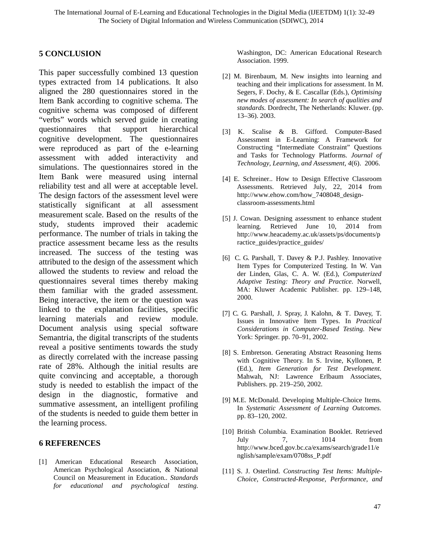#### **5 CONCLUSION**

This paper successfully combined 13 question types extracted from 14 publications. It also aligned the 280 questionnaires stored in the Item Bank according to cognitive schema. The cognitive schema was composed of different "verbs" words which served guide in creating questionnaires that support hierarchical cognitive development. The questionnaires were reproduced as part of the e-learning assessment with added interactivity and simulations. The questionnaires stored in the Item Bank were measured using internal reliability test and all were at acceptable level. The design factors of the assessment level were statistically significant at all assessment measurement scale. Based on the results of the study, students improved their academic performance. The number of trials in taking the practice assessment became less as the results increased. The success of the testing was attributed to the design of the assessment which allowed the students to review and reload the questionnaires several times thereby making them familiar with the graded assessment. Being interactive, the item or the question was linked to the explanation facilities, specific learning materials and review module. Document analysis using special software Semantria, the digital transcripts of the students reveal a positive sentiments towards the study as directly correlated with the increase passing rate of 28%. Although the initial results are quite convincing and acceptable, a thorough study is needed to establish the impact of the design in the diagnostic, formative and summative assessment, an intelligent profiling of the students is needed to guide them better in the learning process.

#### **6 REFERENCES**

[1] American Educational Research Association, American Psychological Association, & National Council on Measurement in Education.. *Standards for educational and psychological testing*.

Washington, DC: American Educational Research Association. 1999.

- [2] M. Birenbaum, M. New insights into learning and teaching and their implications for assessment. In M. Segers, F. Dochy, & E. Cascallar (Eds.), *Optimising new modes of assessment: In search of qualities and standards.* Dordrecht, The Netherlands: Kluwer. (pp. 13–36). 2003.
- [3] K. Scalise & B. Gifford. Computer-Based Assessment in E-Learning: A Framework for Constructing "Intermediate Constraint" Questions and Tasks for Technology Platforms. *Journal of Technology, Learning, and Assessment, 4*(6). 2006.
- [4] E. Schreiner.. How to Design Effective Classroom Assessments. Retrieved July, 22, 2014 from [http://www.ehow.com/how\\_7408048\\_design](http://www.ehow.com/how_7408048_design-classroom-assessments.html)[classroom-assessments.html](http://www.ehow.com/how_7408048_design-classroom-assessments.html)
- [5] J. Cowan. Designing assessment to enhance student learning. Retrieved June 10, 2014 from [http://www.heacademy.ac.uk/assets/ps/documents/p](http://www.heacademy.ac.uk/assets/ps/documents/practice_guides/practice_guides/) [ractice\\_guides/practice\\_guides/](http://www.heacademy.ac.uk/assets/ps/documents/practice_guides/practice_guides/)
- [6] C. G. Parshall, T. Davey & P.J. Pashley. Innovative Item Types for Computerized Testing. In W. Van der Linden, Glas, C. A. W. (Ed.), *Computerized Adaptive Testing: Theory and Practice.* Norwell, MA: Kluwer Academic Publisher. pp. 129–148, 2000.
- [7] C. G. Parshall, J. Spray, J. Kalohn, & T. Davey, T. Issues in Innovative Item Types. In *Practical Considerations in Computer-Based Testing.* New York: Springer. pp. 70–91, 2002.
- [8] S. Embretson. Generating Abstract Reasoning Items with Cognitive Theory. In S. Irvine, Kyllonen, P. (Ed.), *Item Generation for Test Development.*  Mahwah, NJ: Lawrence Erlbaum Associates, Publishers. pp. 219–250, 2002.
- [9] M.E. McDonald. Developing Multiple-Choice Items. In *Systematic Assessment of Learning Outcomes.*  pp. 83–120, 2002.
- [10] British Columbia. Examination Booklet. Retrieved July 7, 1014 from http://www.bced.gov.bc.ca/exams/search/grade11/e nglish/sample/exam/0708ss\_P.pdf
- [11] S. J. Osterlind. *Constructing Test Items: Multiple-Choice, Constructed-Response, Performance, and*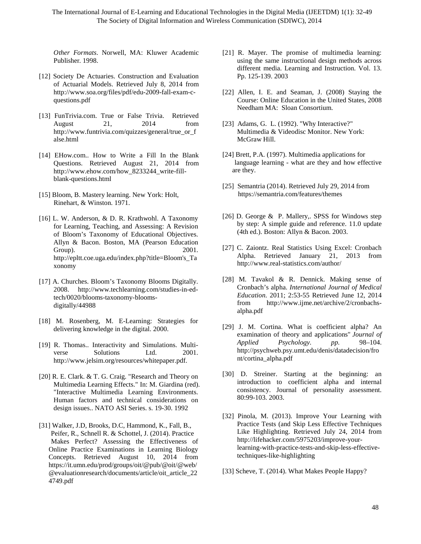The International Journal of E-Learning and Educational Technologies in the Digital Media (IJEETDM) 1(1): 32-49 The Society of Digital Information and Wireless Communication (SDIWC), 2014

*Other Formats*. Norwell, MA: Kluwer Academic Publisher. 1998.

- [12] Society De Actuaries. Construction and Evaluation of Actuarial Models. Retrieved July 8, 2014 from [http://www.soa.org/files/pdf/edu-2009-fall-exam-c](http://www.soa.org/files/pdf/edu-2009-fall-exam-c-questions.pdf)[questions.pdf](http://www.soa.org/files/pdf/edu-2009-fall-exam-c-questions.pdf)
- [13] FunTrivia.com. True or False Trivia. Retrieved August 21, 2014 from [http://www.funtrivia.com/quizzes/general/true\\_or\\_f](http://www.funtrivia.com/quizzes/general/true_or_false.html) [alse.html](http://www.funtrivia.com/quizzes/general/true_or_false.html)
- [14] EHow.com.. How to Write a Fill In the Blank Questions. Retrieved August 21, 2014 from [http://www.ehow.com/how\\_8233244\\_write-fill](http://www.ehow.com/how_8233244_write-fill-blank-questions.html)[blank-questions.html](http://www.ehow.com/how_8233244_write-fill-blank-questions.html)
- [15] Bloom, B. Mastery learning. New York: Holt, Rinehart, & Winston. 1971.
- [16] L. W. Anderson, & D. R. Krathwohl. A Taxonomy for Learning, Teaching, and Assessing: A Revision of Bloom's Taxonomy of Educational Objectives. Allyn & Bacon. Boston, MA (Pearson Education Group). 2001. [http://epltt.coe.uga.edu/index.php?title=Bloom's\\_Ta](http://epltt.coe.uga.edu/index.php?title=Bloom) [xonomy](http://epltt.coe.uga.edu/index.php?title=Bloom)
- [17] A. Churches. Bloom's Taxonomy Blooms Digitally. 2008. [http://www.techlearning.com/studies-in-ed](http://www.techlearning.com/studies-in-ed-tech/0020/blooms-taxonomy-blooms-digitally/44988)[tech/0020/blooms-taxonomy-blooms](http://www.techlearning.com/studies-in-ed-tech/0020/blooms-taxonomy-blooms-digitally/44988)[digitally/44988](http://www.techlearning.com/studies-in-ed-tech/0020/blooms-taxonomy-blooms-digitally/44988)
- [18] M. Rosenberg, M. E-Learning: Strategies for delivering knowledge in the digital. 2000.
- [19] R. Thomas.. Interactivity and Simulations. Multiverse Solutions Ltd. 2001. [http://www.jelsim.org/resources/whitepaper.pdf.](http://www.jelsim.org/resources/whitepaper.pdf)
- [20] R. E. Clark. & T. G. Craig. "Research and Theory on Multimedia Learning Effects." In: M. Giardina (red). "Interactive Multimedia Learning Environments. Human factors and technical considerations on design issues.. NATO ASI Series. s. 19-30. 1992
- [31] Walker, J.D, Brooks, D.C, Hammond, K., Fall, B., Peifer, R., Schnell R. & Schottel, J. (2014). Practice Makes Perfect? Assessing the Effectiveness of Online Practice Examinations in Learning Biology Concepts. Retrieved August 10, 2014 from [https://it.umn.edu/prod/groups/oit/@pub/@oit/@web/](https://it.umn.edu/prod/groups/oit/@pub/@oit/@web/@evaluationresearch/documents/article/oit_article_224749.pdf) [@evaluationresearch/documents/article/oit\\_article\\_22](https://it.umn.edu/prod/groups/oit/@pub/@oit/@web/@evaluationresearch/documents/article/oit_article_224749.pdf) [4749.pdf](https://it.umn.edu/prod/groups/oit/@pub/@oit/@web/@evaluationresearch/documents/article/oit_article_224749.pdf)
- [21] R. Mayer. The promise of multimedia learning: using the same instructional design methods across different media. Learning and Instruction. Vol. 13. Pp. 125-139. 2003
- [22] Allen, I. E. and Seaman, J. (2008) Staying the Course: Online Education in the United States, 2008 Needham MA: Sloan Consortium.
- [23] Adams, G. L. (1992). "Why Interactive?" Multimedia & Videodisc Monitor. New York: McGraw Hill.
- [24] Brett, P.A. (1997). Multimedia applications for language learning - what are they and how effective are they.
- [25] Semantria (2014). Retrieved July 29, 2014 from <https://semantria.com/features/themes>
- [26] D. George & P. Mallery,. SPSS for Windows step by step: A simple guide and reference. 11.0 update (4th ed.). Boston: Allyn & Bacon. 2003.
- [27] C. Zaiontz. Real Statistics Using Excel: Cronbach Alpha. Retrieved January 21, 2013 from <http://www.real-statistics.com/author/>
- [28] M. Tavakol & R. Dennick. Making sense of Cronbach's alpha. *International Journal of Medical Education*. 2011; 2:53-55 Retrieved June 12, 2014 from [http://www.ijme.net/archive/2/cronbachs](http://www.ijme.net/archive/2/cronbachs-alpha.pdf)[alpha.pdf](http://www.ijme.net/archive/2/cronbachs-alpha.pdf)
- [29] J. M. Cortina. What is coefficient alpha? An examination of theory and applications" *Journal of Applied Psychology. pp.* 98–104. [http://psychweb.psy.umt.edu/denis/datadecision/fro](http://psychweb.psy.umt.edu/denis/datadecision/front/cortina_alpha.pdf) [nt/cortina\\_alpha.pdf](http://psychweb.psy.umt.edu/denis/datadecision/front/cortina_alpha.pdf)
- [30] D. Streiner. Starting at the beginning: an introduction to coefficient alpha and internal consistency. Journal of personality assessment. 80:99-103. 2003.
- [32] Pinola, M. (2013). [Improve Your Learning with](http://lifehacker.com/5975203/improve-your-learning-with-practice-tests-and-skip-less-effective-techniques-like-highlighting)  [Practice Tests \(and Skip Less Effective Techniques](http://lifehacker.com/5975203/improve-your-learning-with-practice-tests-and-skip-less-effective-techniques-like-highlighting)  [Like Highlighting.](http://lifehacker.com/5975203/improve-your-learning-with-practice-tests-and-skip-less-effective-techniques-like-highlighting) Retrieved July 24, 2014 from [http://lifehacker.com/5975203/improve-your](http://lifehacker.com/5975203/improve-your-learning-with-practice-tests-and-skip-less-effective-techniques-like-highlighting)[learning-with-practice-tests-and-skip-less-effective](http://lifehacker.com/5975203/improve-your-learning-with-practice-tests-and-skip-less-effective-techniques-like-highlighting)[techniques-like-highlighting](http://lifehacker.com/5975203/improve-your-learning-with-practice-tests-and-skip-less-effective-techniques-like-highlighting)

[33] Scheve, T. (2014). What Makes People Happy?